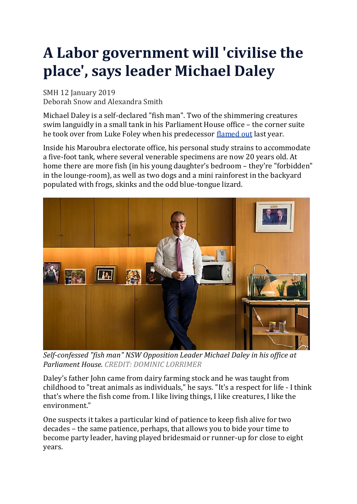## **A Labor government will 'civilise the place', says leader Michael Daley**

SMH 12 January 2019 Deborah Snow and Alexandra Smith

Michael Daley is a self-declared "fish man". Two of the shimmering creatures swim languidly in a small tank in his Parliament House office – the corner suite he took over from Luke Foley when his predecessor [flamed](https://www.smh.com.au/national/nsw/luke-foley-resigns-as-nsw-labor-leader-following-explosive-allegations-20181108-p50euz.html) out last year.

Inside his Maroubra electorate office, his personal study strains to accommodate a five-foot tank, where several venerable specimens are now 20 years old. At home there are more fish (in his young daughter's bedroom – they're "forbidden" in the lounge-room), as well as two dogs and a mini rainforest in the backyard populated with frogs, skinks and the odd blue-tongue lizard.



*Self-confessed "fish man" NSW Opposition Leader Michael Daley in his office at Parliament House. CREDIT: DOMINIC LORRIMER*

Daley's father John came from dairy farming stock and he was taught from childhood to "treat animals as individuals," he says. "It's a respect for life - I think that's where the fish come from. I like living things, I like creatures, I like the environment."

One suspects it takes a particular kind of patience to keep fish alive for two decades – the same patience, perhaps, that allows you to bide your time to become party leader, having played bridesmaid or runner-up for close to eight years.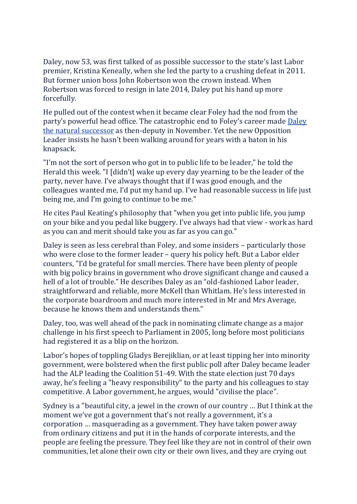Daley, now 53, was first talked of as possible successor to the state's last Labor premier, Kristina Keneally, when she led the party to a crushing defeat in 2011. But former union boss John Robertson won the crown instead. When Robertson was forced to resign in late 2014, Daley put his hand up more forcefully.

He pulled out of the contest when it became clear Foley had the nod from the party's powerful head office. The catastrophic end to Foley's career made [Daley](https://www.smh.com.au/politics/nsw/michael-daley-elected-nsw-labor-party-leader-over-chris-minns-20181110-p50f8i.html) the natural [successor](https://www.smh.com.au/politics/nsw/michael-daley-elected-nsw-labor-party-leader-over-chris-minns-20181110-p50f8i.html) as then-deputy in November. Yet the new Opposition Leader insists he hasn't been walking around for years with a baton in his knapsack.

"I'm not the sort of person who got in to public life to be leader," he told the Herald this week. "I [didn't] wake up every day yearning to be the leader of the party, never have. I've always thought that if I was good enough, and the colleagues wanted me, I'd put my hand up. I've had reasonable success in life just being me, and I'm going to continue to be me."

He cites Paul Keating's philosophy that "when you get into public life, you jump on your bike and you pedal like buggery. I've always had that view - work as hard as you can and merit should take you as far as you can go."

Daley is seen as less cerebral than Foley, and some insiders – particularly those who were close to the former leader – query his policy heft. But a Labor elder counters, "I'd be grateful for small mercies. There have been plenty of people with big policy brains in government who drove significant change and caused a hell of a lot of trouble." He describes Daley as an "old-fashioned Labor leader, straightforward and reliable, more McKell than Whitlam. He's less interested in the corporate boardroom and much more interested in Mr and Mrs Average, because he knows them and understands them."

Daley, too, was well ahead of the pack in nominating climate change as a major challenge in his first speech to Parliament in 2005, long before most politicians had registered it as a blip on the horizon.

Labor's hopes of toppling Gladys Berejiklian, or at least tipping her into minority government, were bolstered when the first public poll after Daley became leader had the ALP leading the Coalition 51-49. With the state election just 70 days away, he's feeling a "heavy responsibility" to the party and his colleagues to stay competitive. A Labor government, he argues, would "civilise the place".

Sydney is a "beautiful city, a jewel in the crown of our country … But I think at the moment we've got a government that's not really a government, it's a corporation … masquerading as a government. They have taken power away from ordinary citizens and put it in the hands of corporate interests, and the people are feeling the pressure. They feel like they are not in control of their own communities, let alone their own city or their own lives, and they are crying out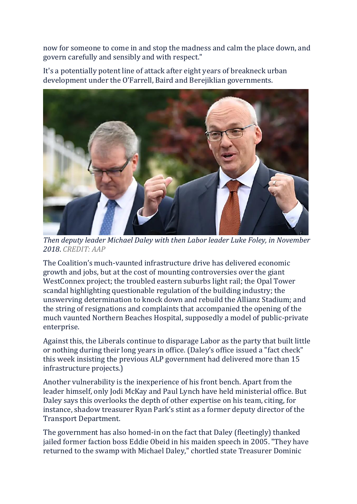now for someone to come in and stop the madness and calm the place down, and govern carefully and sensibly and with respect."

It's a potentially potent line of attack after eight years of breakneck urban development under the O'Farrell, Baird and Berejiklian governments.



*Then deputy leader Michael Daley with then Labor leader Luke Foley, in November 2018*. *CREDIT: AAP*

The Coalition's much-vaunted infrastructure drive has delivered economic growth and jobs, but at the cost of mounting controversies over the giant WestConnex project; the troubled eastern suburbs light rail; the Opal Tower scandal highlighting questionable regulation of the building industry; the unswerving determination to knock down and rebuild the Allianz Stadium; and the string of resignations and complaints that accompanied the opening of the much vaunted Northern Beaches Hospital, supposedly a model of public-private enterprise.

Against this, the Liberals continue to disparage Labor as the party that built little or nothing during their long years in office. (Daley's office issued a "fact check" this week insisting the previous ALP government had delivered more than 15 infrastructure projects.)

Another vulnerability is the inexperience of his front bench. Apart from the leader himself, only Jodi McKay and Paul Lynch have held ministerial office. But Daley says this overlooks the depth of other expertise on his team, citing, for instance, shadow treasurer Ryan Park's stint as a former deputy director of the Transport Department.

The government has also homed-in on the fact that Daley (fleetingly) thanked jailed former faction boss Eddie Obeid in his maiden speech in 2005. "They have returned to the swamp with Michael Daley," chortled state Treasurer Dominic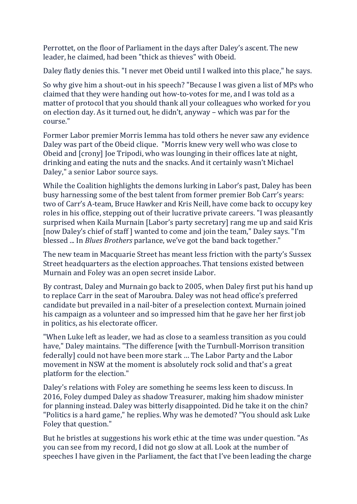Perrottet, on the floor of Parliament in the days after Daley's ascent. The new leader, he claimed, had been "thick as thieves" with Obeid.

Daley flatly denies this. "I never met Obeid until I walked into this place," he says.

So why give him a shout-out in his speech? "Because I was given a list of MPs who claimed that they were handing out how-to-votes for me, and I was told as a matter of protocol that you should thank all your colleagues who worked for you on election day. As it turned out, he didn't, anyway – which was par for the course."

Former Labor premier Morris Iemma has told others he never saw any evidence Daley was part of the Obeid clique. "Morris knew very well who was close to Obeid and [crony] Joe Tripodi, who was lounging in their offices late at night, drinking and eating the nuts and the snacks. And it certainly wasn't Michael Daley," a senior Labor source says.

While the Coalition highlights the demons lurking in Labor's past, Daley has been busy harnessing some of the best talent from former premier Bob Carr's years: two of Carr's A-team, Bruce Hawker and Kris Neill, have come back to occupy key roles in his office, stepping out of their lucrative private careers. "I was pleasantly surprised when Kaila Murnain [Labor's party secretary] rang me up and said Kris [now Daley's chief of staff ] wanted to come and join the team," Daley says. "I'm blessed ... In *Blues Brothers* parlance, we've got the band back together."

The new team in Macquarie Street has meant less friction with the party's Sussex Street headquarters as the election approaches. That tensions existed between Murnain and Foley was an open secret inside Labor.

By contrast, Daley and Murnain go back to 2005, when Daley first put his hand up to replace Carr in the seat of Maroubra. Daley was not head office's preferred candidate but prevailed in a nail-biter of a preselection context. Murnain joined his campaign as a volunteer and so impressed him that he gave her her first job in politics, as his electorate officer.

"When Luke left as leader, we had as close to a seamless transition as you could have," Daley maintains. "The difference [with the Turnbull-Morrison transition federally] could not have been more stark … The Labor Party and the Labor movement in NSW at the moment is absolutely rock solid and that's a great platform for the election."

Daley's relations with Foley are something he seems less keen to discuss. In 2016, Foley dumped Daley as shadow Treasurer, making him shadow minister for planning instead. Daley was bitterly disappointed. Did he take it on the chin? "Politics is a hard game," he replies. Why was he demoted? "You should ask Luke Foley that question."

But he bristles at suggestions his work ethic at the time was under question. "As you can see from my record, I did not go slow at all. Look at the number of speeches I have given in the Parliament, the fact that I've been leading the charge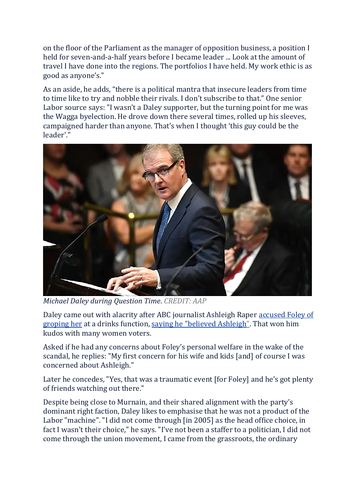on the floor of the Parliament as the manager of opposition business, a position I held for seven-and-a-half years before I became leader ... Look at the amount of travel I have done into the regions. The portfolios I have held. My work ethic is as good as anyone's."

As an aside, he adds, "there is a political mantra that insecure leaders from time to time like to try and nobble their rivals. I don't subscribe to that." One senior Labor source says: "I wasn't a Daley supporter, but the turning point for me was the Wagga byelection. He drove down there several times, rolled up his sleeves, campaigned harder than anyone. That's when I thought 'this guy could be the leader'."



*Michael Daley during Question Time*. *CREDIT: AAP*

Daley came out with alacrity after ABC journalist Ashleigh Raper [accused](https://www.smh.com.au/national/nsw/abc-journalist-releases-explosive-statement-about-luke-foley-20181108-p50erf.html) Foley of [groping](https://www.smh.com.au/national/nsw/abc-journalist-releases-explosive-statement-about-luke-foley-20181108-p50erf.html) her at a drinks function, saying he "believed [Ashleigh".](https://www.smh.com.au/politics/nsw/daley-very-unhappy-over-foley-s-press-conference-backs-journalist-20181109-p50ezd.html) That won him kudos with many women voters.

Asked if he had any concerns about Foley's personal welfare in the wake of the scandal, he replies: "My first concern for his wife and kids [and] of course I was concerned about Ashleigh."

Later he concedes, "Yes, that was a traumatic event [for Foley] and he's got plenty of friends watching out there."

Despite being close to Murnain, and their shared alignment with the party's dominant right faction, Daley likes to emphasise that he was not a product of the Labor "machine". "I did not come through [in 2005] as the head office choice, in fact I wasn't their choice," he says. "I've not been a staffer to a politician, I did not come through the union movement, I came from the grassroots, the ordinary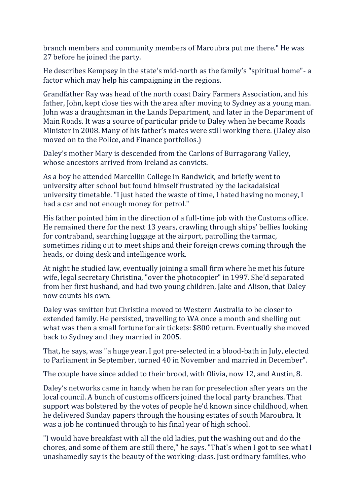branch members and community members of Maroubra put me there." He was 27 before he joined the party.

He describes Kempsey in the state's mid-north as the family's "spiritual home"- a factor which may help his campaigning in the regions.

Grandfather Ray was head of the north coast Dairy Farmers Association, and his father, John, kept close ties with the area after moving to Sydney as a young man. John was a draughtsman in the Lands Department, and later in the Department of Main Roads. It was a source of particular pride to Daley when he became Roads Minister in 2008. Many of his father's mates were still working there. (Daley also moved on to the Police, and Finance portfolios.)

Daley's mother Mary is descended from the Carlons of Burragorang Valley, whose ancestors arrived from Ireland as convicts.

As a boy he attended Marcellin College in Randwick, and briefly went to university after school but found himself frustrated by the lackadaisical university timetable. "I just hated the waste of time, I hated having no money, I had a car and not enough money for petrol."

His father pointed him in the direction of a full-time job with the Customs office. He remained there for the next 13 years, crawling through ships' bellies looking for contraband, searching luggage at the airport, patrolling the tarmac, sometimes riding out to meet ships and their foreign crews coming through the heads, or doing desk and intelligence work.

At night he studied law, eventually joining a small firm where he met his future wife, legal secretary Christina, "over the photocopier" in 1997. She'd separated from her first husband, and had two young children, Jake and Alison, that Daley now counts his own.

Daley was smitten but Christina moved to Western Australia to be closer to extended family. He persisted, travelling to WA once a month and shelling out what was then a small fortune for air tickets: \$800 return. Eventually she moved back to Sydney and they married in 2005.

That, he says, was "a huge year. I got pre-selected in a blood-bath in July, elected to Parliament in September, turned 40 in November and married in December".

The couple have since added to their brood, with Olivia, now 12, and Austin, 8.

Daley's networks came in handy when he ran for preselection after years on the local council. A bunch of customs officers joined the local party branches. That support was bolstered by the votes of people he'd known since childhood, when he delivered Sunday papers through the housing estates of south Maroubra. It was a job he continued through to his final year of high school.

"I would have breakfast with all the old ladies, put the washing out and do the chores, and some of them are still there," he says. "That's when I got to see what I unashamedly say is the beauty of the working-class. Just ordinary families, who